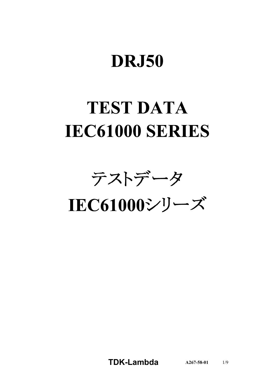# **DRJ50**

# **TEST DATA IEC61000 SERIES**

テストデータ

IEC61000シリーズ

**TDKLambda A2675801** 1/9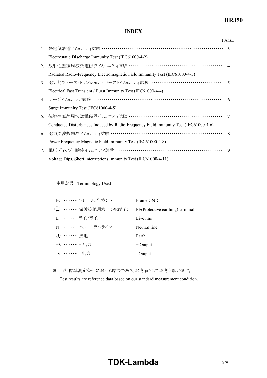# *DRJ50*

#### **INDEX**

|                                  |                                                                                      | <b>PAGE</b>   |
|----------------------------------|--------------------------------------------------------------------------------------|---------------|
|                                  | 1. 静電気放電イミュニティ試験 ……………………………………………………………                                             | $\mathcal{R}$ |
|                                  | Electrostatic Discharge Immunity Test (IEC61000-4-2)                                 |               |
| 2.                               | 放射性無線周波数電磁界イミュニティ試験 ………………………………………………… 4                                            |               |
|                                  | Radiated Radio-Frequency Electromagnetic Field Immunity Test (IEC61000-4-3)          |               |
| 3 <sub>1</sub>                   | 電気的ファーストトランジェントバーストイミュニティ試験 …………………………………                                            | $\varsigma$   |
|                                  | Electrical Fast Transient / Burst Immunity Test (IEC61000-4-4)                       |               |
|                                  | 4. サージイミュニティ試験 ……………………………………………………………                                               | 6             |
|                                  | Surge Immunity Test (IEC61000-4-5)                                                   |               |
| 5.                               | 伝導性無線周波数電磁界イミュニティ試験 ………………………………………………                                               | 7             |
|                                  | Conducted Disturbances Induced by Radio-Frequency Field Immunity Test (IEC61000-4-6) |               |
| 6.                               | 電力周波数磁界イミュニティ試験 ………………………………………………………                                                | 8             |
|                                  | Power Frequency Magnetic Field Immunity Test (IEC61000-4-8)                          |               |
| $7_{\scriptscriptstyle{\ddots}}$ | 電圧ディップ、瞬停イミュニティ試験 ……………………………………………………                                               | 9             |
|                                  | Voltage Dips, Short Interruptions Immunity Test (IEC61000-4-11)                      |               |

使用記号 Terminology Used

|                        | FG …… フレームグラウンド                         | Frame GND                        |
|------------------------|-----------------------------------------|----------------------------------|
|                        | ( <del>↓</del> ) ・・・・・・・保護接地用端子(PE端子) ― | PE(Protective earthing) terminal |
|                        | I. ・・・・・・・ ライブライン                       | Live line                        |
|                        | N …… ニュートラルライン                          | Neutral line                     |
| <del>〃</del> ・・・・・・ 接地 |                                         | Earth                            |
| $+V$ + $HH$            |                                         | $+$ Output                       |
| -V …… - 出力             |                                         | - Output                         |

※ 当社標準測定条件における結果であり、参考値としてお考え願います。

Test results are reference data based on our standard measurement condition.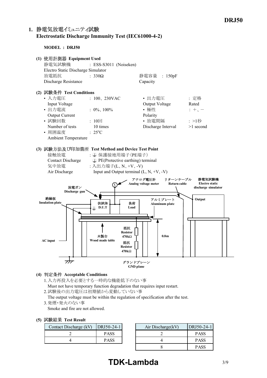## **1. Electrostatic Discharge Immunity Test (IEC6100042)**

**MODEL : DRJ50**



#### **(4) Acceptable Conditions**

1.入力再投入を必要とする一時的な機能低下のない事 Must not have temporary function degradation that requires input restart. 2.試験後の出力電圧は初期値から変動していない事

The output voltage must be within the regulation of specification after the test.

3.発煙・発火のない事

Smoke and fire are not allowed.

#### **(5) Test Result**

| Contact Discharge (kV) | $ DRJ50-24-1 $ | Air Discharge(kV) |
|------------------------|----------------|-------------------|
|                        | <b>PASS</b>    |                   |
|                        | <b>PASS</b>    |                   |

| DRJ50-24-1  | Air Discharge(kV) | DRJ50-24-1  |
|-------------|-------------------|-------------|
| <b>PASS</b> |                   | <b>PASS</b> |
| <b>PASS</b> |                   | <b>PASS</b> |
|             |                   | <b>PASS</b> |

# **TDK-Lambda** 3/9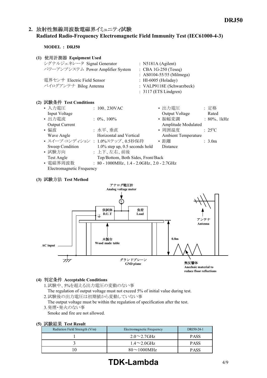## 2. 放射性無線周波数電磁界イミュニティ試験 **Radiated RadioFrequency Electromagnetic Field Immunity Test (IEC6100043)**

**MODEL : DRJ50**

| (1) | 使用計測器 Equipment Used              |                                 |
|-----|-----------------------------------|---------------------------------|
|     | シグナルジェネレータ Signal Generator       | : N5181A (Agilent)              |
|     | パワーアンプシステム Power Amplifier System | $\therefore$ CBA 1G-250 (Teseq) |
|     |                                   | : AS0104-55/55 (Milmega)        |
|     | 電界センサ Electric Field Sensor       | : HI-6005 (Holaday)             |
|     | バイログアンテナ Bilog Antenna            | : VALP9118E (Schwarzbeck)       |
|     |                                   | $: 3117$ (ETS Lindgren)         |
|     |                                   |                                 |

| (2) 試験条件 Test Conditions        |                                                     |                     |                          |
|---------------------------------|-----------------------------------------------------|---------------------|--------------------------|
| • 入力電圧                          | : $100, 230$ VAC                                    | • 出力電圧              | : 定格                     |
| Input Voltage                   |                                                     | Output Voltage      | Rated                    |
| • 出力電流                          | $: 0\%$ , 100%                                      | • 振幅変調              | $: 80\%$ , 1kHz          |
| <b>Output Current</b>           |                                                     | Amplitude Modulated |                          |
| ・偏波                             | :水平、垂直                                              | • 周囲温度              | $\div$ 25 <sup>o</sup> C |
| Wave Angle                      | Horizontal and Vertical                             | Ambient Temperature |                          |
| • スイープ·コンディション: 1.0%ステップ、0.5秒保持 |                                                     | • 距離                | $\therefore$ 3.0m        |
| Sweep Condition                 | $1.0\%$ step up, 0.5 seconds hold                   | <b>Distance</b>     |                          |
| • 試験方向                          | : 上下、左右、前後                                          |                     |                          |
| Test Angle                      | Top/Bottom, Both Sides, Front/Back                  |                     |                          |
| • 電磁界周波数                        | : $80 - 1000$ MHz, $1.4 - 2.0$ GHz, $2.0 - 2.7$ GHz |                     |                          |
| Electromagnetic Frequency       |                                                     |                     |                          |

#### **(3) Test Method**



#### **(4) Acceptable Conditions**

- 1.試験中、5%を超える出力電圧の変動のない事 The regulation of output voltage must not exceed 5% of initial value during test. 2.試験後の出力電圧は初期値から変動していない事
- The output voltage must be within the regulation of specification after the test. 3.発煙・発火のない事
- Smoke and fire are not allowed.

#### **(5) Test Result**

| Radiation Field Strength (V/m) | Electromagnetic Frequency |             |  |  |  |
|--------------------------------|---------------------------|-------------|--|--|--|
|                                | $2.0 \sim 2.7$ GHz        | <b>PASS</b> |  |  |  |
|                                | $1.4\sim2.0$ GHz          | <b>PASS</b> |  |  |  |
|                                | $80\sim1000$ MHz          | PASS        |  |  |  |

# **TDK-Lambda** 4/9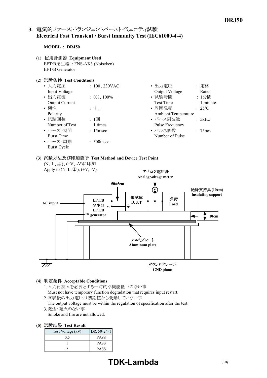## 3. 電気的ファーストトランジェントバーストイミュニティ試験 **Electrical Fast Transient / Burst Immunity Test (IEC6100044)**

#### **MODEL : DRJ50**

- **(1) Equipment Used** EFT/B発生器 : FNSAX3 (Noiseken) EFT/B Generator
- **(2) Test Conditions**

| • 入力電圧                | : $100, 230 \text{VAC}$ | : 定格<br>• 出力電圧                  |
|-----------------------|-------------------------|---------------------------------|
| Input Voltage         |                         | Output Voltage<br>Rated         |
| • 出力電流                | : $0\%$ , $100\%$       | • 試験時間<br>: 1分間                 |
| <b>Output Current</b> |                         | 1 minute<br><b>Test Time</b>    |
| • 極性                  | $: +$                   | • 周囲温度<br>$: 25^{\circ}C$       |
| Polarity              |                         | <b>Ambient Temperature</b>      |
| • 試験回数                | :1回                     | • パルス周波数<br>: 5kHz              |
| Number of Test        | 1 times                 | Pulse Frequency                 |
| • バースト期間              | $: 15$ msec             | • パルス個数<br>: 75 <sub>pres</sub> |
| <b>Burst Time</b>     |                         | Number of Pulse                 |
| • バースト周期              | $\therefore$ 300 msec   |                                 |
| <b>Burst Cycle</b>    |                         |                                 |

# **(3) Test Method and Device Test Point**



#### **(4) Acceptable Conditions**

- 1.入力再投入を必要とする一時的な機能低下のない事 Must not have temporary function degradation that requires input restart.
- 2.試験後の出力電圧は初期値から変動していない事
- The output voltage must be within the regulation of specification after the test.
- 3.発煙・発火のない事
- Smoke and fire are not allowed.

#### **(5) Test Result**

| Test Voltage (kV) | DRJ50-24-1  |
|-------------------|-------------|
| 0.5               | <b>PASS</b> |
|                   | <b>PASS</b> |
|                   | <b>PASS</b> |

# **TDK-Lambda** 5/9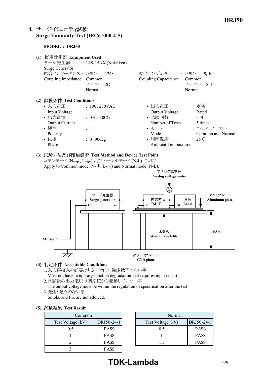# **4. Surge Immunity Test (IEC6100045)**

**MODEL : DRJ50**

| (1) 使用計測器 Equipment Used<br>Surge Generator<br>結合インピーダンス : コモン<br>Coupling Impedance Common                                | サージ発生器 : LSS-15AX (Noiseken)<br>$-12Q$<br>ノーマル 20<br>Normal    | 結合コンデンサ : コモン<br>Coupling Capacitance                                                                   | $9\mu F$<br>Common<br>ノーマル 18uF<br>Normal                                         |
|----------------------------------------------------------------------------------------------------------------------------|----------------------------------------------------------------|---------------------------------------------------------------------------------------------------------|-----------------------------------------------------------------------------------|
| (2) 試験条件 Test Conditions<br>• 入力電圧<br>Input Voltage<br>• 出力雷流<br><b>Output Current</b><br>• 極性<br>Polarity<br>・位相<br>Phase | $: 100, 230$ VAC<br>$: 0\%$ , 100%<br>$: + -$<br>$: 0, 90$ deg | • 出力雷圧<br>Output Voltage<br>• 試験回数<br>Number of Tests<br>• モード<br>Mode<br>• 周囲温度<br>Ambient Temperature | : 定格<br>Rated<br>:5回<br>5 times<br>: コモン、ノーマル<br>Common and Normal<br>$\div$ 25°C |

**(3) Test Method and Device Test Point** コモンモード (N-() L-() 及びノーマルモード (N-L) に印加 Apply to Common mode  $(N-\textcircled{L}, L-\textcircled{L})$  and Normal mode (N-L).



#### **(4) Acceptable Conditions**

- 1.入力再投入を必要とする一時的な機能低下のない事 Must not have temporary function degradation that requires input restart.
- 2.試験後の出力電圧は初期値から変動していない事
- The output voltage must be within the regulation of specification after the test. 3.発煙・発火のない事
- Smoke and fire are not allowed.

|  | (5) 試験結果 Test Result |  |  |
|--|----------------------|--|--|
|--|----------------------|--|--|

| Common            |             |  | Norm              |
|-------------------|-------------|--|-------------------|
| Test Voltage (kV) | DRJ50-24-1  |  | Test Voltage (kV) |
| 0.5               | <b>PASS</b> |  | 0.5               |
|                   | <b>PASS</b> |  |                   |
|                   | <b>PASS</b> |  |                   |
|                   | <b>PASS</b> |  |                   |

|             | Normal            |             |
|-------------|-------------------|-------------|
| DRJ50-24-1  | Test Voltage (kV) | DRJ50-24-1  |
| <b>PASS</b> | 05                | <b>PASS</b> |
| <b>PASS</b> |                   | <b>PASS</b> |
| <b>PASS</b> |                   | <b>PASS</b> |

# **TDK-Lambda** 6/9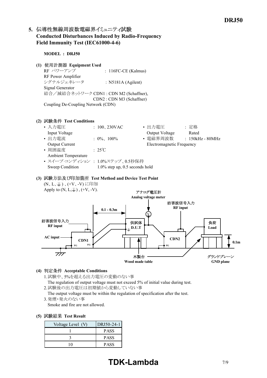# 5. 伝導性無線周波数電磁界イミュニティ試験 **Conducted Disturbances Induced by RadioFrequency** Field Immunity Test (IEC61000-4-6)

**MODEL : DRJ50**

**(1) Equipment Used**

RF パワーアンプ : 116FC-CE (Kalmus) RF Power Amplifier シグナルジェネレータ : N5181A (Agilent) Signal Generator 結合/減結合ネットワーク CDN1 : CDN M2 (Schaffner), CDN2 : CDN M3 (Schaffner) Coupling De-Coupling Network (CDN)

#### **(2) Test Conditions**

| : $100, 230$ VAC  | • 出力電圧                    | :定格                                                                   |
|-------------------|---------------------------|-----------------------------------------------------------------------|
|                   | Output Voltage            | Rated                                                                 |
| : $0\%$ , $100\%$ | • 電磁界周波数                  | $: 150kHz - 80MHz$                                                    |
|                   | Electromagnetic Frequency |                                                                       |
| $\cdot$ 25°C      |                           |                                                                       |
|                   |                           |                                                                       |
|                   |                           |                                                                       |
|                   |                           |                                                                       |
|                   |                           | • スイープ・コンディション : 1.0%ステップ、0.5秒保持<br>$1.0\%$ step up, 0.5 seconds hold |

### **(3) Test Method and Device Test Point** (N、L、4)、(+V、-V)に印加



#### **(4) Acceptable Conditions**

1.試験中、5%を超える出力電圧の変動のない事

The regulation of output voltage must not exceed 5% of initial value during test.

2.試験後の出力電圧は初期値から変動していない事

The output voltage must be within the regulation of specification after the test. 3.発煙・発火のない事

Smoke and fire are not allowed.

#### **(5) Test Result**

| Voltage Level (V) | DRJ50-24-1  |
|-------------------|-------------|
|                   | <b>PASS</b> |
|                   | <b>PASS</b> |
|                   | <b>PASS</b> |

# **TDK-Lambda** 7/9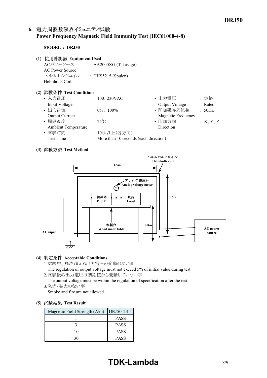## 6. 電力周波数磁界イミュニティ試験 **Power Frequency Magnetic Field Immunity Test (IEC6100048)**

#### **MODEL : DRJ50**

- **(1) Equipment Used**
	- ACパワーソース : AA2000XG (Takasago) AC Power Source ヘルムホルツコイル : HHS5215 (Spulen) Helmholts Coil

#### **(2) Test Conditions**

| • 入力電圧<br>• 出力電圧<br>: 定格<br>: $100, 230 \text{VAC}$       |          |
|-----------------------------------------------------------|----------|
| Input Voltage<br>Output Voltage                           | Rated    |
| • 印加磁界周波数<br>• 出力電流<br>: $0\%$ , $100\%$<br>: 50Hz        |          |
| <b>Magnetic Frequency</b><br><b>Output Current</b>        |          |
| • 周囲温度<br>• 印加方向<br>$:25^{\circ}\text{C}$                 | :X, Y, Z |
| <b>Ambient Temperature</b><br>Direction                   |          |
| • 試験時間<br>: 10秒以上(各方向)                                    |          |
| More than 10 seconds (each direction)<br><b>Test Time</b> |          |

#### **(3) Test Method**



#### **(4) Acceptable Conditions**

1.試験中、5%を超える出力電圧の変動のない事

The regulation of output voltage must not exceed 5% of initial value during test. 2.試験後の出力電圧は初期値から変動していない事

The output voltage must be within the regulation of specification after the test. 3.発煙・発火のない事

Smoke and fire are not allowed.

#### **(5) Test Result**

| Magnetic Field Strength (A/m) | $ DRJ50-24-1 $ |
|-------------------------------|----------------|
|                               | <b>PASS</b>    |
|                               | <b>PASS</b>    |
|                               | <b>PASS</b>    |
|                               | <b>PASS</b>    |